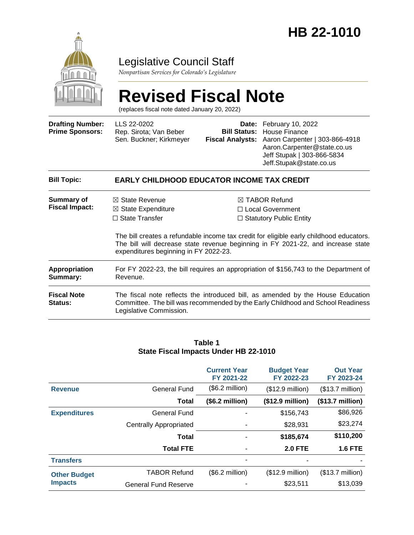

# Legislative Council Staff

*Nonpartisan Services for Colorado's Legislature*

# **Revised Fiscal Note**

(replaces fiscal note dated January 20, 2022)

| <b>Drafting Number:</b><br><b>Prime Sponsors:</b> | LLS 22-0202<br>Rep. Sirota; Van Beber<br>Sen. Buckner; Kirkmeyer                    |  | <b>Date:</b> February 10, 2022<br><b>Bill Status: House Finance</b><br>Fiscal Analysts: Aaron Carpenter   303-866-4918<br>Aaron.Carpenter@state.co.us<br>Jeff Stupak   303-866-5834<br>Jeff.Stupak@state.co.us |  |  |
|---------------------------------------------------|-------------------------------------------------------------------------------------|--|----------------------------------------------------------------------------------------------------------------------------------------------------------------------------------------------------------------|--|--|
| <b>Bill Topic:</b>                                | <b>EARLY CHILDHOOD EDUCATOR INCOME TAX CREDIT</b>                                   |  |                                                                                                                                                                                                                |  |  |
| <b>Summary of</b><br><b>Fiscal Impact:</b>        | $\boxtimes$ State Revenue<br>$\boxtimes$ State Expenditure<br>$\Box$ State Transfer |  | $\boxtimes$ TABOR Refund<br>$\Box$ Local Government<br>$\Box$ Statutory Public Entity                                                                                                                          |  |  |

The bill creates a refundable income tax credit for eligible early childhood educators. The bill will decrease state revenue beginning in FY 2021-22, and increase state expenditures beginning in FY 2022-23.

| Appropriation                 | For FY 2022-23, the bill requires an appropriation of \$156,743 to the Department of                                                                                                          |
|-------------------------------|-----------------------------------------------------------------------------------------------------------------------------------------------------------------------------------------------|
| Summary:                      | Revenue.                                                                                                                                                                                      |
| <b>Fiscal Note</b><br>Status: | The fiscal note reflects the introduced bill, as amended by the House Education<br>Committee. The bill was recommended by the Early Childhood and School Readiness<br>Legislative Commission. |

#### **Table 1 State Fiscal Impacts Under HB 22-1010**

|                                       |                               | <b>Current Year</b><br>FY 2021-22 | <b>Budget Year</b><br>FY 2022-23 | <b>Out Year</b><br>FY 2023-24 |
|---------------------------------------|-------------------------------|-----------------------------------|----------------------------------|-------------------------------|
| <b>Revenue</b>                        | <b>General Fund</b>           | $($6.2 \text{ million})$          | $($12.9 \text{ million})$        | $($13.7 \text{ million})$     |
|                                       | <b>Total</b>                  | (\$6.2 million)                   | (\$12.9 million)                 | (\$13.7 million)              |
| <b>Expenditures</b>                   | <b>General Fund</b>           |                                   | \$156,743                        | \$86,926                      |
|                                       | <b>Centrally Appropriated</b> |                                   | \$28,931                         | \$23,274                      |
|                                       | <b>Total</b>                  |                                   | \$185,674                        | \$110,200                     |
|                                       | <b>Total FTE</b>              |                                   | <b>2.0 FTE</b>                   | <b>1.6 FTE</b>                |
| <b>Transfers</b>                      |                               |                                   |                                  |                               |
| <b>Other Budget</b><br><b>Impacts</b> | <b>TABOR Refund</b>           | (\$6.2 million)                   | $($12.9 \text{ million})$        | $($13.7 \text{ million})$     |
|                                       | <b>General Fund Reserve</b>   |                                   | \$23,511                         | \$13,039                      |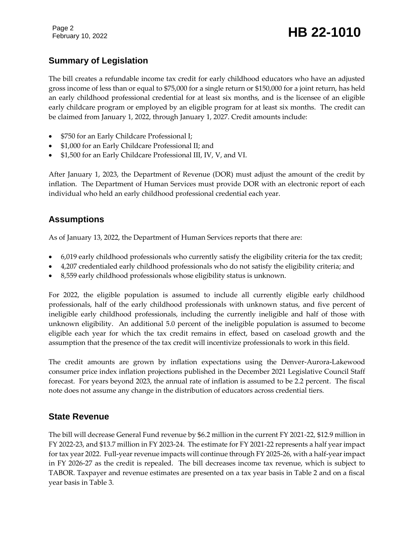Page 2

# February 10, 2022 **HB 22-1010**

# **Summary of Legislation**

The bill creates a refundable income tax credit for early childhood educators who have an adjusted gross income of less than or equal to \$75,000 for a single return or \$150,000 for a joint return, has held an early childhood professional credential for at least six months, and is the licensee of an eligible early childcare program or employed by an eligible program for at least six months. The credit can be claimed from January 1, 2022, through January 1, 2027. Credit amounts include:

- \$750 for an Early Childcare Professional I;
- \$1,000 for an Early Childcare Professional II; and
- \$1,500 for an Early Childcare Professional III, IV, V, and VI.

After January 1, 2023, the Department of Revenue (DOR) must adjust the amount of the credit by inflation. The Department of Human Services must provide DOR with an electronic report of each individual who held an early childhood professional credential each year.

### **Assumptions**

As of January 13, 2022, the Department of Human Services reports that there are:

- 6,019 early childhood professionals who currently satisfy the eligibility criteria for the tax credit;
- 4,207 credentialed early childhood professionals who do not satisfy the eligibility criteria; and
- 8,559 early childhood professionals whose eligibility status is unknown.

For 2022, the eligible population is assumed to include all currently eligible early childhood professionals, half of the early childhood professionals with unknown status, and five percent of ineligible early childhood professionals, including the currently ineligible and half of those with unknown eligibility. An additional 5.0 percent of the ineligible population is assumed to become eligible each year for which the tax credit remains in effect, based on caseload growth and the assumption that the presence of the tax credit will incentivize professionals to work in this field.

The credit amounts are grown by inflation expectations using the Denver-Aurora-Lakewood consumer price index inflation projections published in the December 2021 Legislative Council Staff forecast. For years beyond 2023, the annual rate of inflation is assumed to be 2.2 percent. The fiscal note does not assume any change in the distribution of educators across credential tiers.

### **State Revenue**

The bill will decrease General Fund revenue by \$6.2 million in the current FY 2021-22, \$12.9 million in FY 2022-23, and \$13.7 million in FY 2023-24. The estimate for FY 2021-22 represents a half year impact for tax year 2022. Full-year revenue impacts will continue through FY 2025-26, with a half-year impact in FY 2026-27 as the credit is repealed. The bill decreases income tax revenue, which is subject to TABOR. Taxpayer and revenue estimates are presented on a tax year basis in Table 2 and on a fiscal year basis in Table 3.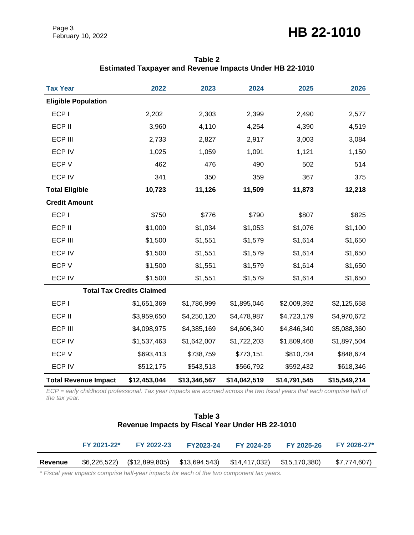Page 3

# Page 3<br>February 10, 2022 **HB 22-1010**

| <b>Tax Year</b>             | 2022                             | 2023         | 2024         | 2025         | 2026         |
|-----------------------------|----------------------------------|--------------|--------------|--------------|--------------|
| <b>Eligible Population</b>  |                                  |              |              |              |              |
| ECP I                       | 2,202                            | 2,303        | 2,399        | 2,490        | 2,577        |
| ECP II                      | 3,960                            | 4,110        | 4,254        | 4,390        | 4,519        |
| <b>ECP III</b>              | 2,733                            | 2,827        | 2,917        | 3,003        | 3,084        |
| <b>ECP IV</b>               | 1,025                            | 1,059        | 1,091        | 1,121        | 1,150        |
| ECP V                       | 462                              | 476          | 490          | 502          | 514          |
| <b>ECP IV</b>               | 341                              | 350          | 359          | 367          | 375          |
| <b>Total Eligible</b>       | 10,723                           | 11,126       | 11,509       | 11,873       | 12,218       |
| <b>Credit Amount</b>        |                                  |              |              |              |              |
| ECP I                       | \$750                            | \$776        | \$790        | \$807        | \$825        |
| ECP II                      | \$1,000                          | \$1,034      | \$1,053      | \$1,076      | \$1,100      |
| <b>ECP III</b>              | \$1,500                          | \$1,551      | \$1,579      | \$1,614      | \$1,650      |
| <b>ECP IV</b>               | \$1,500                          | \$1,551      | \$1,579      | \$1,614      | \$1,650      |
| ECP V                       | \$1,500                          | \$1,551      | \$1,579      | \$1,614      | \$1,650      |
| <b>ECP IV</b>               | \$1,500                          | \$1,551      | \$1,579      | \$1,614      | \$1,650      |
|                             | <b>Total Tax Credits Claimed</b> |              |              |              |              |
| ECP I                       | \$1,651,369                      | \$1,786,999  | \$1,895,046  | \$2,009,392  | \$2,125,658  |
| ECP II                      | \$3,959,650                      | \$4,250,120  | \$4,478,987  | \$4,723,179  | \$4,970,672  |
| ECP III                     | \$4,098,975                      | \$4,385,169  | \$4,606,340  | \$4,846,340  | \$5,088,360  |
| <b>ECP IV</b>               | \$1,537,463                      | \$1,642,007  | \$1,722,203  | \$1,809,468  | \$1,897,504  |
| ECP V                       | \$693,413                        | \$738,759    | \$773,151    | \$810,734    | \$848,674    |
| <b>ECP IV</b>               | \$512,175                        | \$543,513    | \$566,792    | \$592,432    | \$618,346    |
| <b>Total Revenue Impact</b> | \$12,453,044                     | \$13,346,567 | \$14,042,519 | \$14,791,545 | \$15,549,214 |

**Table 2 Estimated Taxpayer and Revenue Impacts Under HB 22-1010**

*ECP = early childhood professional. Tax year impacts are accrued across the two fiscal years that each comprise half of the tax year.* 

#### **Table 3 Revenue Impacts by Fiscal Year Under HB 22-1010**

|         | FY 2021-22*  | FY 2022-23                                    | <b>FY2023-24</b> | FY 2024-25 | FY 2025-26    | FY 2026-27*  |
|---------|--------------|-----------------------------------------------|------------------|------------|---------------|--------------|
| Revenue | \$6,226,522) | $($12,899,805)$ $$13,694,543)$ $$14,417,032)$ |                  |            | \$15,170,380) | \$7,774,607) |

*\* Fiscal year impacts comprise half-year impacts for each of the two component tax years.*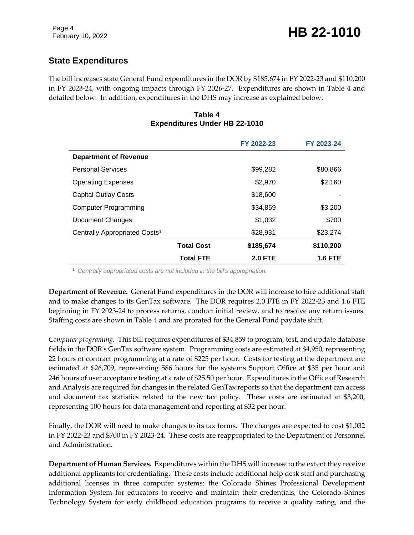# **State Expenditures**

The bill increases state General Fund expenditures in the DOR by \$185,674 in FY 2022-23 and \$110,200 in FY 2023-24, with ongoing impacts through FY 2026-27. Expenditures are shown in Table 4 and detailed below. In addition, expenditures in the DHS may increase as explained below.

#### **Table 4 Expenditures Under HB 22-1010**

|                                           |                   | FY 2022-23     | FY 2023-24     |  |  |
|-------------------------------------------|-------------------|----------------|----------------|--|--|
| <b>Department of Revenue</b>              |                   |                |                |  |  |
| <b>Personal Services</b>                  |                   | \$99,282       | \$80,866       |  |  |
| <b>Operating Expenses</b>                 |                   | \$2,970        | \$2,160        |  |  |
| <b>Capital Outlay Costs</b>               |                   | \$18,600       |                |  |  |
| <b>Computer Programming</b>               |                   | \$34,859       | \$3,200        |  |  |
| Document Changes                          |                   | \$1,032        | \$700          |  |  |
| Centrally Appropriated Costs <sup>1</sup> |                   | \$28,931       | \$23,274       |  |  |
|                                           | <b>Total Cost</b> | \$185,674      | \$110,200      |  |  |
|                                           | <b>Total FTE</b>  | <b>2.0 FTE</b> | <b>1.6 FTE</b> |  |  |

<sup>1</sup> *Centrally appropriated costs are not included in the bill's appropriation.*

**Department of Revenue.** General Fund expenditures in the DOR will increase to hire additional staff and to make changes to its GenTax software. The DOR requires 2.0 FTE in FY 2022-23 and 1.6 FTE beginning in FY 2023-24 to process returns, conduct initial review, and to resolve any return issues. Staffing costs are shown in Table 4 and are prorated for the General Fund paydate shift.

*Computer programing.* This bill requires expenditures of \$34,859 to program, test, and update database fields in the DOR's GenTax software system. Programming costs are estimated at \$4,950, representing 22 hours of contract programming at a rate of \$225 per hour. Costs for testing at the department are estimated at \$26,709, representing 586 hours for the systems Support Office at \$35 per hour and 246 hours of user acceptance testing at a rate of \$25.50 per hour. Expenditures in the Office of Research and Analysis are required for changes in the related GenTax reports so that the department can access and document tax statistics related to the new tax policy. These costs are estimated at \$3,200, representing 100 hours for data management and reporting at \$32 per hour.

Finally, the DOR will need to make changes to its tax forms. The changes are expected to cost \$1,032 in FY 2022-23 and \$700 in FY 2023-24. These costs are reappropriated to the Department of Personnel and Administration.

**Department of Human Services.** Expenditures within the DHS will increase to the extent they receive additional applicants for credentialing. These costs include additional help desk staff and purchasing additional licenses in three computer systems: the Colorado Shines Professional Development Information System for educators to receive and maintain their credentials, the Colorado Shines Technology System for early childhood education programs to receive a quality rating, and the